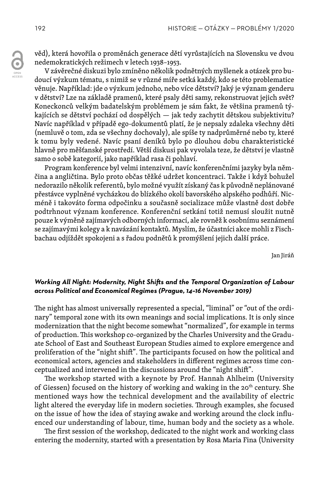věd), která hovořila o proměnách generace dětí vyrůstajících na Slovensku ve dvou nedemokratických režimech v letech 1938–1953.

V závěrečné diskuzi bylo zmíněno několik podnětných myšlenek a otázek pro budoucí výzkum tématu, s nimiž se v různé míře setká každý, kdo se této problematice věnuje. Například: jde o výzkum jednoho, nebo více dětství? Jaký je význam genderu v dětství? Lze na základě pramenů, které psaly děti samy, rekonstruovat jejich svět? Koneckonců velkým badatelským problémem je sám fakt, že většina pramenů týkajících se dětství pochází od dospělých — jak tedy zachytit dětskou subjektivitu? Navíc například v případě ego-dokumentů platí, že je nepsaly zdaleka všechny děti (nemluvě o tom, zda se všechny dochovaly), ale spíše ty nadprůměrné nebo ty, které k tomu byly vedené. Navíc psaní deníků bylo po dlouhou dobu charakteristické hlavně pro měšťanské prostředí. Větší diskusi pak vyvolala teze, že dětství je vlastně samo o sobě kategorií, jako například rasa či pohlaví.

Program konference byl velmi intenzivní, navíc konferenčními jazyky byla němčina a angličtina. Bylo proto občas těžké udržet koncentraci. Takže i když bohužel nedorazilo několik referentů, bylo možné využít získaný čas k původně neplánované přestávce vyplněné vycházkou do blízkého okolí bavorského alpského podhůří. Nicméně i takováto forma odpočinku a současně socializace může vlastně dost dobře podtrhnout význam konference. Konferenční setkání totiž nemusí sloužit nutně pouze k výměně zajímavých odborných informací, ale rovněž k osobnímu seznámení se zajímavými kolegy a k navázání kontaktů. Myslím, že účastníci akce mohli z Fischbachau odjíždět spokojeni a s řadou podnětů k promýšlení jejich další práce.

Jan Jiráň

## *Working All Night: Modernity, Night Shifts and the Temporal Organization of Labour across Political and Economical Regimes (Prague, 14–16 November 2019)*

The night has almost universally represented a special, "liminal" or "out of the ordinary" temporal zone with its own meanings and social implications. It is only since modernization that the night become somewhat "normalized", for example in terms of production. This workshop co-organized by the Charles University and the Graduate School of East and Southeast European Studies aimed to explore emergence and proliferation of the "night shift". The participants focused on how the political and economical actors, agencies and stakeholders in different regimes across time conceptualized and intervened in the discussions around the "night shift".

The workshop started with a keynote by Prof. Hannah Ahlheim (University of Giessen) focused on the history of working and waking in the 20<sup>th</sup> century. She mentioned ways how the technical development and the availability of electric light altered the everyday life in modern societies. Through examples, she focused on the issue of how the idea of staying awake and working around the clock influenced our understanding of labour, time, human body and the society as a whole.

The first session of the workshop, dedicated to the night work and working class entering the modernity, started with a presentation by Rosa Maria Fina (University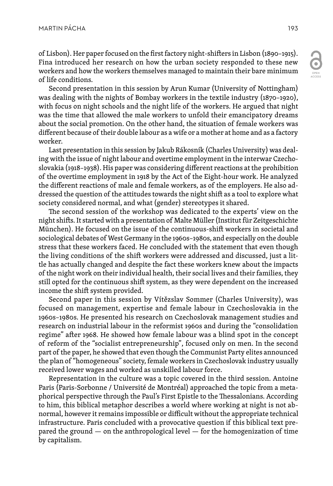OPEN

ACCESS

of Lisbon). Her paper focused on the first factory night-shifters in Lisbon (1890–1915). Fina introduced her research on how the urban society responded to these new workers and how the workers themselves managed to maintain their bare minimum of life conditions.

Second presentation in this session by Arun Kumar (University of Nottingham) was dealing with the nights of Bombay workers in the textile industry (1870–1920), with focus on night schools and the night life of the workers. He argued that night was the time that allowed the male workers to unfold their emancipatory dreams about the social promotion. On the other hand, the situation of female workers was different because of their double labour as a wife or a mother at home and as a factory worker.

Last presentation in this session by Jakub Rákosník (Charles University) was dealing with the issue of night labour and overtime employment in the interwar Czechoslovakia (1918–1938). His paper was considering different reactions at the prohibition of the overtime employment in 1918 by the Act of the Eight-hour work. He analyzed the different reactions of male and female workers, as of the employers. He also addressed the question of the attitudes towards the night shift as a tool to explore what society considered normal, and what (gender) stereotypes it shared.

The second session of the workshop was dedicated to the experts' view on the night shifts. It started with a presentation of Malte Müller (Institut für Zeitgeschichte München). He focused on the issue of the continuous-shift workers in societal and sociological debates of West Germany in the 1960s–1980s, and especially on the double stress that these workers faced. He concluded with the statement that even though the living conditions of the shift workers were addressed and discussed, just a little has actually changed and despite the fact these workers knew about the impacts of the night work on their individual health, their social lives and their families, they still opted for the continuous shift system, as they were dependent on the increased income the shift system provided.

Second paper in this session by Vítězslav Sommer (Charles University), was focused on management, expertise and female labour in Czechoslovakia in the 1960s–1980s. He presented his research on Czechoslovak management studies and research on industrial labour in the reformist 1960s and during the "consolidation regime" after 1968. He showed how female labour was a blind spot in the concept of reform of the "socialist entrepreneurship", focused only on men. In the second part of the paper, he showed that even though the Communist Party elites announced the plan of "homogeneous" society, female workers in Czechoslovak industry usually received lower wages and worked as unskilled labour force.

Representation in the culture was a topic covered in the third session. Antoine Paris (Paris-Sorbonne / Université de Montréal) approached the topic from a metaphorical perspective through the Paul's First Epistle to the Thessalonians. According to him, this biblical metaphor describes a world where working at night is not abnormal, however it remains impossible or difficult without the appropriate technical infrastructure. Paris concluded with a provocative question if this biblical text prepared the ground — on the anthropological level — for the homogenization of time by capitalism.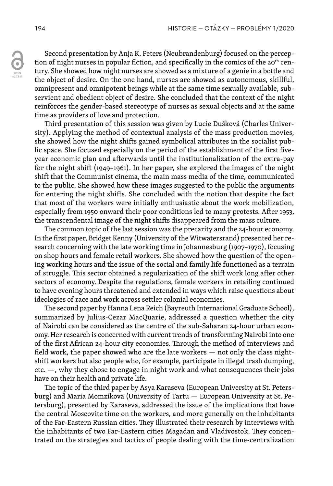ACCESS

Second presentation by Anja K. Peters (Neubrandenburg) focused on the perception of night nurses in popular fiction, and specifically in the comics of the 20<sup>th</sup> century. She showed how night nurses are showed as a mixture of a genie in a bottle and the object of desire. On the one hand, nurses are showed as autonomous, skillful, omnipresent and omnipotent beings while at the same time sexually available, subservient and obedient object of desire. She concluded that the context of the night reinforces the gender-based stereotype of nurses as sexual objects and at the same time as providers of love and protection.

Third presentation of this session was given by Lucie Dušková (Charles University). Applying the method of contextual analysis of the mass production movies, she showed how the night shifts gained symbolical attributes in the socialist public space. She focused especially on the period of the establishment of the first fiveyear economic plan and afterwards until the institutionalization of the extra-pay for the night shift (1949–1961). In her paper, she explored the images of the night shift that the Communist cinema, the main mass media of the time, communicated to the public. She showed how these images suggested to the public the arguments for entering the night shifts. She concluded with the notion that despite the fact that most of the workers were initially enthusiastic about the work mobilization, especially from 1950 onward their poor conditions led to many protests. After 1953, the transcendental image of the night shifts disappeared from the mass culture.

The common topic of the last session was the precarity and the 24-hour economy. In the first paper, Bridget Kenny (University of the Witwatersrand) presented her research concerning with the late working time in Johannesburg (1907–1970), focusing on shop hours and female retail workers. She showed how the question of the opening working hours and the issue of the social and family life functioned as a terrain of struggle. This sector obtained a regularization of the shift work long after other sectors of economy. Despite the regulations, female workers in retailing continued to have evening hours threatened and extended in ways which raise questions about ideologies of race and work across settler colonial economies.

The second paper by Hanna Lena Reich (Bayreuth International Graduate School), summarized by Julius-Cezar MacQuarie, addressed a question whether the city of Nairobi can be considered as the centre of the sub-Saharan 24-hour urban economy. Her research is concerned with current trends of transforming Nairobi into one of the first African 24-hour city economies. Through the method of interviews and field work, the paper showed who are the late workers — not only the class nightshift workers but also people who, for example, participate in illegal trash dumping, etc. —, why they chose to engage in night work and what consequences their jobs have on their health and private life.

The topic of the third paper by Asya Karaseva (European University at St. Petersburg) and Maria Momzikova (University of Tartu — European University at St. Petersburg), presented by Karaseva, addressed the issue of the implications that have the central Moscovite time on the workers, and more generally on the inhabitants of the Far-Eastern Russian cities. They illustrated their research by interviews with the inhabitants of two Far-Eastern cities Magadan and Vladivostok. They concentrated on the strategies and tactics of people dealing with the time-centralization